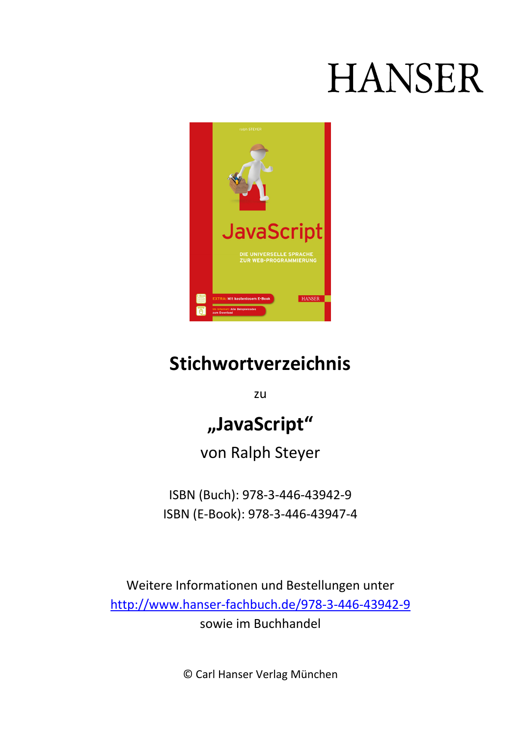# **HANSER**



## **Stichwortverzeichnis**

zu

## **"JavaScript"**

von Ralph Steyer

ISBN (Buch): 978-3-446-43942-9 ISBN (E-Book): 978-3-446-43947-4

Weitere Informationen und Bestellungen unter http://www.hanser-fachbuch.de/978-3-446-43942-9 sowie im Buchhandel

© Carl Hanser Verlag München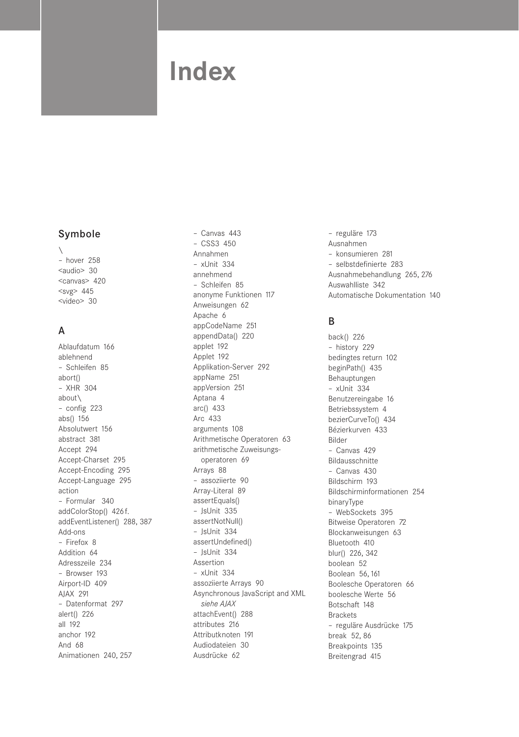### **Index**

#### Symbole

\ – hover 258 <audio> 30 <canvas> 420  $<$ svg> 445 <video> 30

#### A

Ablaufdatum 166 ablehnend – Schleifen 85 abort() – XHR 304 about\ – config 223 abs() 156 Absolutwert 156 abstract 381 Accept 294 Accept-Charset 295 Accept-Encoding 295 Accept-Language 295 action – Formular 340 addColorStop() 426 f. addEventListener() 288, 387 Add-ons – Firefox 8 Addition 64 Adresszeile 234 – Browser 193 Airport-ID 409 AJAX 291 – Datenformat 297 alert() 226 all 192 anchor 192 And 68 Animationen 240, 257

– Canvas 443 – CSS3 450 Annahmen – xUnit 334 annehmend – Schleifen 85 anonyme Funktionen 117 Anweisungen 62 Apache 6 appCodeName 251 appendData() 220 applet 192 Applet 192 Applikation-Server 292 appName 251 appVersion 251 Aptana 4 arc() 433 Arc 433 arguments 108 Arithmetische Operatoren 63 arithmetische Zuweisungsoperatoren 69 Arrays 88 – assoziierte 90 Array-Literal 89 assertEquals() – JsUnit 335 assertNotNull() – JsUnit 334 assertUndefined() – JsUnit 334 Assertion – xUnit 334 assoziierte Arrays 90 Asynchronous JavaScript and XML *siehe AJAX* attachEvent() 288 attributes 216 Attributknoten 191 Audiodateien 30 Ausdrücke 62

– reguläre 173 Ausnahmen – konsumieren 281 – selbstdefinierte 283 Ausnahmebehandlung 265, 276 Auswahlliste 342 Automatische Dokumentation 140

#### B

back() 226 – history 229 bedingtes return 102 beginPath() 435 Behauptungen – xUnit 334 Benutzereingabe 16 Betriebssystem 4 bezierCurveTo() 434 Bézierkurven 433 Bilder – Canvas 429 Bildausschnitte – Canvas 430 Bildschirm 193 Bildschirminformationen 254 binaryType – WebSockets 395 Bitweise Operatoren 72 Blockanweisungen 63 Bluetooth 410 blur() 226, 342 boolean 52 Boolean 56, 161 Boolesche Operatoren 66 boolesche Werte 56 Botschaft 148 Brackets – reguläre Ausdrücke 175 break 52, 86 Breakpoints 135 Breitengrad 415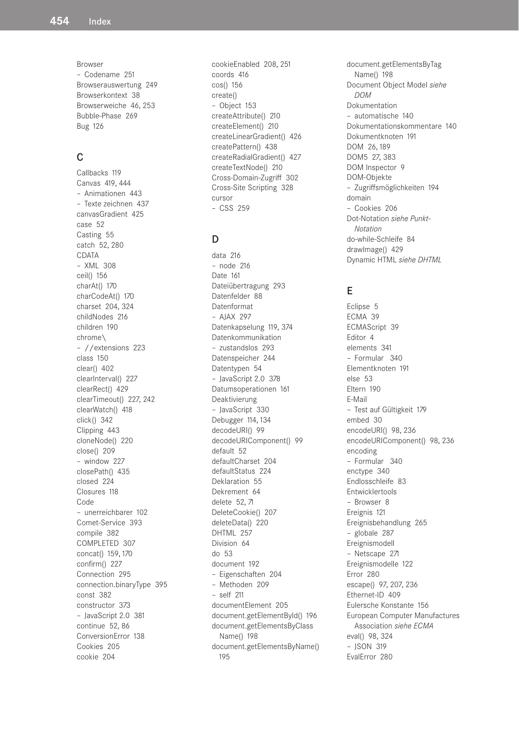Browser – Codename 251 Browserauswertung 249 Browserkontext 38 Browserweiche 46, 253 Bubble-Phase 269 Bug 126

#### $\mathsf{C}$

Callbacks 119 Canvas 419, 444 – Animationen 443 – Texte zeichnen 437 canvasGradient 425 case 52 Casting 55 catch 52, 280 CDATA – XML 308 ceil() 156 charAt() 170 charCodeAt() 170 charset 204, 324 childNodes 216 children 190 chrome\ – //extensions 223 class 150 clear() 402 clearInterval() 227 clearRect() 429 clearTimeout() 227, 242 clearWatch() 418 click() 342 Clipping 443 cloneNode() 220 close() 209 – window 227 closePath() 435 closed 224 Closures 118 Code – unerreichbarer 102 Comet-Service 393 compile 382 COMPLETED 307 concat() 159, 170 confirm() 227 Connection 295 connection.binaryType 395 const 382 constructor 373 – JavaScript 2.0 381 continue 52, 86 ConversionError 138 Cookies 205 cookie 204

cookieEnabled 208, 251 coords 416 cos() 156 create() – Object 153 createAttribute() 210 createElement() 210 createLinearGradient() 426 createPattern() 438 createRadialGradient() 427 createTextNode() 210 Cross-Domain-Zugriff 302 Cross-Site Scripting 328 cursor – CSS 259

#### D

data 216 – node 216 Date 161 Dateiübertragung 293 Datenfelder 88 Datenformat – AJAX 297 Datenkapselung 119, 374 Datenkommunikation – zustandslos 293 Datenspeicher 244 Datentypen 54 – JavaScript 2.0 378 Datumsoperationen 161 Deaktivierung – JavaScript 330 Debugger 114, 134 decodeURI() 99 decodeURIComponent() 99 default 52 defaultCharset 204 defaultStatus 224 Deklaration 55 Dekrement 64 delete 52, 71 DeleteCookie() 207 deleteData() 220 DHTML 257 Division 64 do 53 document 192 – Eigenschaften 204 – Methoden 209 – self 211 documentElement 205 document.getElementById() 196 document.getElementsByClass Name() 198 document.getElementsByName() 195

document.getElementsByTag Name() 198 Document Object Model *siehe DOM* Dokumentation – automatische 140 Dokumentationskommentare 140 Dokumentknoten 191 DOM 26, 189 DOM5 27, 383 DOM Inspector 9 DOM-Objekte – Zugriffsmöglichkeiten 194 domain – Cookies 206 Dot-Notation *siehe Punkt-Notation* do-while-Schleife 84 drawImage() 429 Dynamic HTML *siehe DHTML*

#### E

Eclipse 5 ECMA 39 ECMAScript 39 Editor 4 elements 341 – Formular 340 Elementknoten 191 else 53 Eltern 190 E-Mail – Test auf Gültigkeit 179 embed 30 encodeURI() 98, 236 encodeURIComponent() 98, 236 encoding – Formular 340 enctype 340 Endlosschleife 83 Entwicklertools – Browser 8 Ereignis 121 Ereignisbehandlung 265 – globale 287 Ereignismodell – Netscape 271 Ereignismodelle 122 Error 280 escape() 97, 207, 236 Ethernet-ID 409 Eulersche Konstante 156 European Computer Manufactures Association *siehe ECMA* eval() 98, 324 – JSON 319 EvalError 280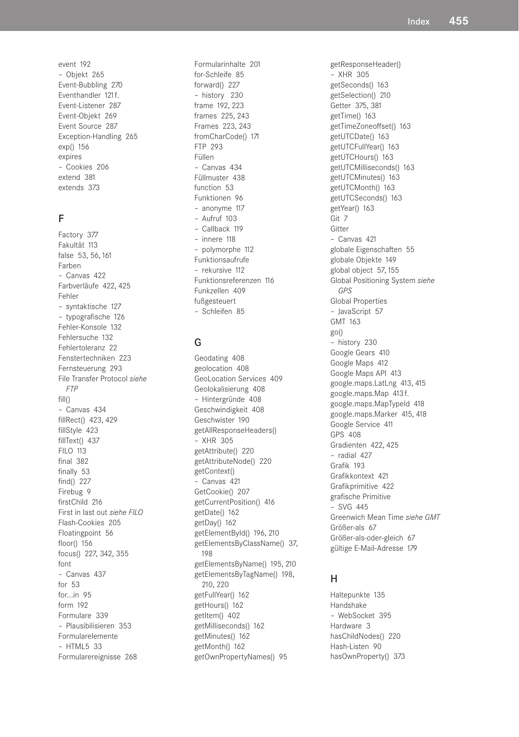event 192 – Objekt 265 Event-Bubbling 270 Eventhandler 121 f. Event-Listener 287 Event-Objekt 269 Event Source 287 Exception-Handling 265 exp() 156 expires – Cookies 206 extend 381 extends 373

#### F

Factory 377 Fakultät 113 false 53, 56, 161 Farben – Canvas 422 Farbverläufe 422, 425 Fehler – syntaktische 127 – typografische 126 Fehler-Konsole 132 Fehlersuche 132 Fehlertoleranz 22 Fenstertechniken 223 Fernsteuerung 293 File Transfer Protocol *siehe FTP* fill() – Canvas 434 fillRect() 423, 429 fillStyle 423 fillText() 437 FILO 113 final 382 finally 53 find() 227 Firebug 9 firstChild 216 First in last out *siehe FILO* Flash-Cookies 205 Floatingpoint 56 floor() 156 focus() 227, 342, 355 font – Canvas 437 for 53 for...in 95 form 192 Formulare 339 – Plausibilisieren 353 Formularelemente – HTML5 33 Formularereignisse 268

Formularinhalte 201 for-Schleife 85 forward() 227 – history 230 frame 192, 223 frames 225, 243 Frames 223, 243 fromCharCode() 171 FTP 293 Füllen – Canvas 434 Füllmuster 438 function 53 Funktionen 96 – anonyme 117 – Aufruf 103 – Callback 119 – innere 118 – polymorphe 112 Funktionsaufrufe – rekursive 112 Funktionsreferenzen 116 Funkzellen 409 fußgesteuert – Schleifen 85

#### G

Geodating 408 geolocation 408 GeoLocation Services 409 Geolokalisierung 408 – Hintergründe 408 Geschwindigkeit 408 Geschwister 190 getAllResponseHeaders() – XHR 305 getAttribute() 220 getAttributeNode() 220 getContext() – Canvas 421 GetCookie() 207 getCurrentPosition() 416 getDate() 162 getDay() 162 getElementById() 196, 210 getElementsByClassName() 37, 198 getElementsByName() 195, 210 getElementsByTagName() 198, 210, 220 getFullYear() 162 getHours() 162 getItem() 402 getMilliseconds() 162 getMinutes() 162 getMonth() 162 getOwnPropertyNames() 95

getResponseHeader() – XHR 305 getSeconds() 163 getSelection() 210 Getter 375, 381 getTime() 163 getTimeZoneoffset() 163 getUTCDate() 163 getUTCFullYear() 163 getUTCHours() 163 getUTCMilliseconds() 163 getUTCMinutes() 163 getUTCMonth() 163 getUTCSeconds() 163 getYear() 163 Git 7 **Gitter** – Canvas 421 globale Eigenschaften 55 globale Objekte 149 global object 57, 155 Global Positioning System *siehe GPS* Global Properties – JavaScript 57 GMT 163 go() – history 230 Google Gears 410 Google Maps 412 Google Maps API 413 google.maps.LatLng 413, 415 google.maps.Map 413 f. google.maps.MapTypeId 418 google.maps.Marker 415, 418 Google Service 411 GPS 408 Gradienten 422, 425 – radial 427 Grafik 193 Grafikkontext 421 Grafikprimitive 422 grafische Primitive – SVG 445 Greenwich Mean Time *siehe GMT* Größer-als 67 Größer-als-oder-gleich 67 gültige E-Mail-Adresse 179

#### H

Haltepunkte 135 Handshake – WebSocket 395 Hardware 3 hasChildNodes() 220 Hash-Listen 90 hasOwnProperty() 373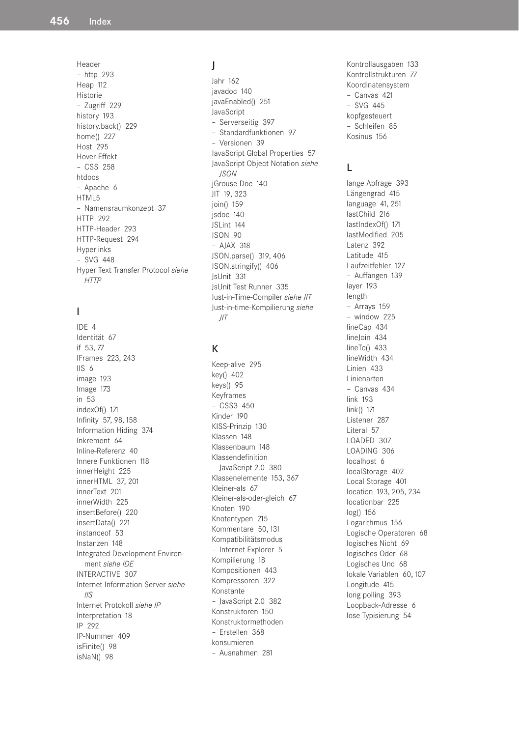Header – http 293 Heap 112 Historie – Zugriff 229 history 193 history.back() 229 home() 227 Host 295 Hover-Effekt – CSS 258 htdocs – Apache 6 HTML5 – Namensraumkonzept 37 HTTP 292 HTTP-Header 293 HTTP-Request 294 Hyperlinks – SVG 448 Hyper Text Transfer Protocol *siehe HTTP*

#### I

IDE 4 Identität 67 if 53, 77 IFrames 223, 243  $IIS<sub>6</sub>$ image 193 Image 173 in 53 indexOf() 171 Infinity 57, 98, 158 Information Hiding 374 Inkrement 64 Inline-Referenz 40 Innere Funktionen 118 innerHeight 225 innerHTML 37, 201 innerText 201 innerWidth 225 insertBefore() 220 insertData() 221 instanceof 53 Instanzen 148 Integrated Development Environment *siehe IDE* INTERACTIVE 307 Internet Information Server *siehe IIS* Internet Protokoll *siehe IP* Interpretation 18 IP 292 IP-Nummer 409 isFinite() 98 isNaN() 98

#### J

Jahr 162 javadoc 140 javaEnabled() 251 JavaScript – Serverseitig 397 – Standardfunktionen 97 – Versionen 39 JavaScript Global Properties 57 JavaScript Object Notation *siehe JSON* jGrouse Doc 140 JIT 19, 323 join() 159 jsdoc 140 JSLint 144 JSON 90 – AJAX 318 JSON.parse() 319, 406 JSON.stringify() 406 JsUnit 331 JsUnit Test Runner 335 Just-in-Time-Compiler *siehe JIT* Just-in-time-Kompilierung *siehe JIT*

#### K

Keep-alive 295 key() 402 keys() 95 Keyframes – CSS3 450 Kinder 190 KISS-Prinzip 130 Klassen 148 Klassenbaum 148 Klassendefinition – JavaScript 2.0 380 Klassenelemente 153, 367 Kleiner-als 67 Kleiner-als-oder-gleich 67 Knoten 190 Knotentypen 215 Kommentare 50, 131 Kompatibilitätsmodus – Internet Explorer 5 Kompilierung 18 Kompositionen 443 Kompressoren 322 Konstante – JavaScript 2.0 382 Konstruktoren 150 Konstruktormethoden – Erstellen 368 konsumieren – Ausnahmen 281

Kontrollausgaben 133 Kontrollstrukturen 77 Koordinatensystem – Canvas 421 – SVG 445 kopfgesteuert – Schleifen 85 Kosinus 156

#### L

lange Abfrage 393 Längengrad 415 language 41, 251 lastChild 216 lastIndexOf() 171 lastModified 205 Latenz 392 Latitude 415 Laufzeitfehler 127 – Auffangen 139 layer 193 length – Arrays 159 – window 225 lineCap 434 lineJoin 434 lineTo() 433 lineWidth 434 Linien 433 Linienarten – Canvas 434 link 193 link() 171 Listener 287 Literal 57 LOADED 307 LOADING 306 localhost 6 localStorage 402 Local Storage 401 location 193, 205, 234 locationbar 225 log() 156 Logarithmus 156 Logische Operatoren 68 logisches Nicht 69 logisches Oder 68 Logisches Und 68 lokale Variablen 60, 107 Longitude 415 long polling 393 Loopback-Adresse 6 lose Typisierung 54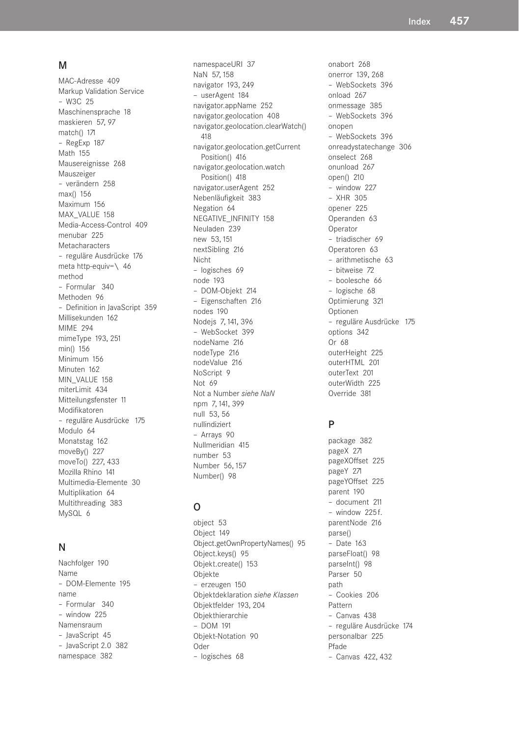#### M

MAC-Adresse 409 Markup Validation Service – W3C 25 Maschinensprache 18 maskieren 57, 97 match() 171 – RegExp 187 Math 155 Mausereignisse 268 Mauszeiger – verändern 258 max() 156 Maximum 156 MAX\_VALUE 158 Media-Access-Control 409 menubar 225 Metacharacters – reguläre Ausdrücke 176 meta http-equiv=\ 46 method – Formular 340 Methoden 96 – Definition in JavaScript 359 Millisekunden 162 MIME 294 mimeType 193, 251 min() 156 Minimum 156 Minuten 162 MIN\_VALUE 158 miterLimit 434 Mitteilungsfenster 11 Modifikatoren – reguläre Ausdrücke 175 Modulo 64 Monatstag 162 moveBy() 227 moveTo() 227, 433 Mozilla Rhino 141 Multimedia-Elemente 30 Multiplikation 64 Multithreading 383 MySQL 6

#### N

Nachfolger 190 Name – DOM-Elemente 195 name – Formular 340 – window 225 Namensraum – JavaScript 45 – JavaScript 2.0 382 namespace 382

namespaceURI 37 NaN 57, 158 navigator 193, 249 – userAgent 184 navigator.appName 252 navigator.geolocation 408 navigator.geolocation.clearWatch() 418 navigator.geolocation.getCurrent Position() 416 navigator.geolocation.watch Position() 418 navigator.userAgent 252 Nebenläufigkeit 383 Negation 64 NEGATIVE\_INFINITY 158 Neuladen 239 new 53, 151 nextSibling 216 Nicht – logisches 69 node 193 – DOM-Objekt 214 – Eigenschaften 216 nodes 190 Nodejs 7, 141, 396 – WebSocket 399 nodeName 216 nodeType 216 nodeValue 216 NoScript 9 Not 69 Not a Number *siehe NaN* npm 7, 141, 399 null 53, 56 nullindiziert – Arrays 90 Nullmeridian 415 number 53 Number 56, 157 Number() 98

#### $\Omega$

object 53 Object 149 Object.getOwnPropertyNames() 95 Object.keys() 95 Objekt.create() 153 Objekte – erzeugen 150 Objektdeklaration *siehe Klassen* Objektfelder 193, 204 Objekthierarchie – DOM 191 Objekt-Notation 90 Oder – logisches 68

onabort 268 onerror 139, 268 – WebSockets 396 onload 267 onmessage 385 – WebSockets 396 onopen – WebSockets 396 onreadystatechange 306 onselect 268 onunload 267 open() 210 – window 227 – XHR 305 opener 225 Operanden 63 Operator – triadischer 69 Operatoren 63 – arithmetische 63 – bitweise 72 – boolesche 66 – logische 68 Optimierung 321 Optionen – reguläre Ausdrücke 175 options 342 Or 68 outerHeight 225 outerHTML 201 outerText 201 outerWidth 225 Override 381

#### P

package 382 pageX 271 pageXOffset 225 pageY 271 pageYOffset 225 parent 190 – document 211 – window 225 f. parentNode 216 parse() – Date 163 parseFloat() 98 parseInt() 98 Parser 50 path – Cookies 206 Pattern – Canvas 438 – reguläre Ausdrücke 174 personalbar 225 Pfade – Canvas 422, 432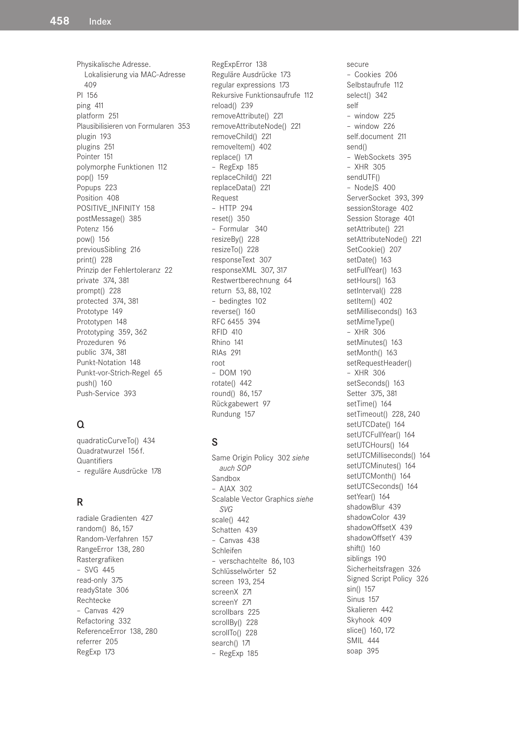Physikalische Adresse. Lokalisierung via MAC-Adresse 409 PI 156 ping 411 platform 251 Plausibilisieren von Formularen 353 plugin 193 plugins 251 Pointer 151 polymorphe Funktionen 112 pop() 159 Popups 223 Position 408 POSITIVE\_INFINITY\_158 postMessage() 385 Potenz 156 pow() 156 previousSibling 216 print() 228 Prinzip der Fehlertoleranz 22 private 374, 381 prompt() 228 protected 374, 381 Prototype 149 Prototypen 148 Prototyping 359, 362 Prozeduren 96 public 374, 381 Punkt-Notation 148 Punkt-vor-Strich-Regel 65 push() 160 Push-Service 393

#### Q

quadraticCurveTo() 434 Quadratwurzel 156 f. **Quantifiers** – reguläre Ausdrücke 178

#### R

radiale Gradienten 427 random() 86, 157 Random-Verfahren 157 RangeError 138, 280 Rastergrafiken – SVG 445 read-only 375 readyState 306 Rechtecke – Canvas 429 Refactoring 332 ReferenceError 138, 280 referrer 205 RegExp 173

RegExpError 138 Reguläre Ausdrücke 173 regular expressions 173 Rekursive Funktionsaufrufe 112 reload() 239 removeAttribute() 221 removeAttributeNode() 221 removeChild() 221 removeItem() 402 replace() 171 – RegExp 185 replaceChild() 221 replaceData() 221 Request – HTTP 294 reset() 350 – Formular 340 resizeBy() 228 resizeTo() 228 responseText 307 responseXML 307, 317 Restwertberechnung 64 return 53, 88, 102 – bedingtes 102 reverse() 160 RFC 6455 394 RFID 410 Rhino 141 RIAs 291 root – DOM 190 rotate() 442 round() 86, 157 Rückgabewert 97 Rundung 157

#### S

Same Origin Policy 302 *siehe auch SOP* Sandbox – AJAX 302 Scalable Vector Graphics *siehe SVG* scale() 442 Schatten 439 – Canvas 438 Schleifen – verschachtelte 86, 103 Schlüsselwörter 52 screen 193, 254 screenX 271 screenY 271 scrollbars 225 scrollBy() 228 scrollTo() 228 search() 171 – RegExp 185

secure – Cookies 206 Selbstaufrufe 112 select() 342 self – window 225 – window 226 self.document 211 send() – WebSockets 395 – XHR 305 sendUTF() – NodeJS 400 ServerSocket 393, 399 sessionStorage 402 Session Storage 401 setAttribute() 221 setAttributeNode() 221 SetCookie() 207 setDate() 163 setFullYear() 163 setHours() 163 setInterval() 228 setItem() 402 setMilliseconds() 163 setMimeType() – XHR 306 setMinutes() 163 setMonth() 163 setRequestHeader() – XHR 306 setSeconds() 163 Setter 375, 381 setTime() 164 setTimeout() 228, 240 setUTCDate() 164 setUTCFullYear() 164 setUTCHours() 164 setUTCMilliseconds() 164 setUTCMinutes() 164 setUTCMonth() 164 setUTCSeconds() 164 setYear() 164 shadowBlur 439 shadowColor 439 shadowOffsetX 439 shadowOffsetY 439 shift() 160 siblings 190 Sicherheitsfragen 326 Signed Script Policy 326 sin() 157 Sinus 157 Skalieren 442 Skyhook 409 slice() 160, 172 SMIL 444 soap 395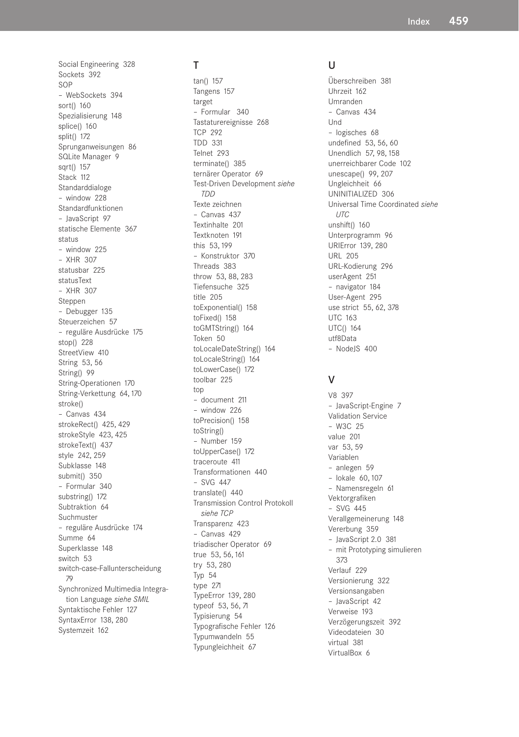Social Engineering 328 Sockets 392 SOP – WebSockets 394 sort() 160 Spezialisierung 148 splice() 160 split() 172 Sprunganweisungen 86 SQLite Manager 9 sart() 157 Stack 112 Standarddialoge – window 228 Standardfunktionen – JavaScript 97 statische Elemente 367 status – window 225 – XHR 307 statusbar 225 statusText – XHR 307 Steppen – Debugger 135 Steuerzeichen 57 – reguläre Ausdrücke 175 stop() 228 StreetView 410 String 53, 56 String() 99 String-Operationen 170 String-Verkettung 64, 170 stroke() – Canvas 434 strokeRect() 425, 429 strokeStyle 423, 425 strokeText() 437 style 242, 259 Subklasse 148 submit() 350 – Formular 340 substring() 172 Subtraktion 64 Suchmuster – reguläre Ausdrücke 174 Summe 64 Superklasse 148 switch 53 switch-case-Fallunterscheidung 79 Synchronized Multimedia Integration Language *siehe SMIL* Syntaktische Fehler 127 SyntaxError 138, 280 Systemzeit 162

#### T

tan() 157 Tangens 157 target – Formular 340 Tastaturereignisse 268 TCP 292 TDD 331 Telnet 293 terminate() 385 ternärer Operator 69 Test-Driven Development *siehe TDD* Texte zeichnen – Canvas 437 Textinhalte 201 Textknoten 191 this 53, 199 – Konstruktor 370 Threads 383 throw 53, 88, 283 Tiefensuche 325 title 205 toExponential() 158 toFixed() 158 toGMTString() 164 Token 50 toLocaleDateString() 164 toLocaleString() 164 toLowerCase() 172 toolbar 225 top – document 211 – window 226 toPrecision() 158 toString() – Number 159 toUpperCase() 172 traceroute 411 Transformationen 440 – SVG 447 translate() 440 Transmission Control Protokoll *siehe TCP* Transparenz 423 – Canvas 429 triadischer Operator 69 true 53, 56, 161 try 53, 280 Typ 54 type 271 TypeError 139, 280 typeof 53, 56, 71 Typisierung 54 Typografische Fehler 126 Typumwandeln 55 Typungleichheit 67

#### U

Überschreiben 381 Uhrzeit 162 Umranden – Canvas 434 Und – logisches 68 undefined 53, 56, 60 Unendlich 57, 98, 158 unerreichbarer Code 102 unescape() 99, 207 Ungleichheit 66 UNINITIALIZED 306 Universal Time Coordinated *siehe UTC* unshift() 160 Unterprogramm 96 URIError 139, 280 URL 205 URL-Kodierung 296 userAgent 251 – navigator 184 User-Agent 295 use strict 55, 62, 378 UTC 163 UTC() 164 utf8Data – NodeJS 400

#### V

V8 397 – JavaScript-Engine 7 Validation Service – W3C 25 value 201 var 53, 59 Variablen – anlegen 59 – lokale 60, 107 – Namensregeln 61 Vektorgrafiken – SVG 445 Verallgemeinerung 148 Vererbung 359 – JavaScript 2.0 381 – mit Prototyping simulieren 373 Verlauf 229 Versionierung 322 Versionsangaben – JavaScript 42 Verweise 193 Verzögerungszeit 392 Videodateien 30 virtual 381 VirtualBox 6